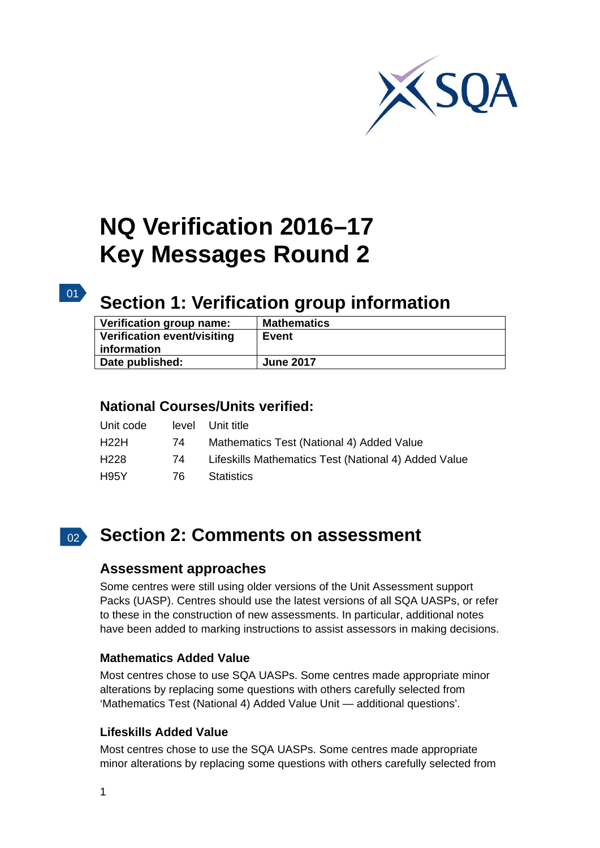

# **NQ Verification 2016–17 Key Messages Round 2**

#### $\boxed{01}$

# **Section 1: Verification group information**

| Verification group name:    | <b>Mathematics</b> |
|-----------------------------|--------------------|
| Verification event/visiting | <b>Event</b>       |
| information                 |                    |
| Date published:             | <b>June 2017</b>   |

#### **National Courses/Units verified:**

| Unit code |     | level Unit title                                     |
|-----------|-----|------------------------------------------------------|
| H22H      | 74  | Mathematics Test (National 4) Added Value            |
| H228      | 74  | Lifeskills Mathematics Test (National 4) Added Value |
| H95Y      | 76. | <b>Statistics</b>                                    |

## 02 **Section 2: Comments on assessment**

#### **Assessment approaches**

Some centres were still using older versions of the Unit Assessment support Packs (UASP). Centres should use the latest versions of all SQA UASPs, or refer to these in the construction of new assessments. In particular, additional notes have been added to marking instructions to assist assessors in making decisions.

#### **Mathematics Added Value**

Most centres chose to use SQA UASPs. Some centres made appropriate minor alterations by replacing some questions with others carefully selected from 'Mathematics Test (National 4) Added Value Unit — additional questions'.

#### **Lifeskills Added Value**

Most centres chose to use the SQA UASPs. Some centres made appropriate minor alterations by replacing some questions with others carefully selected from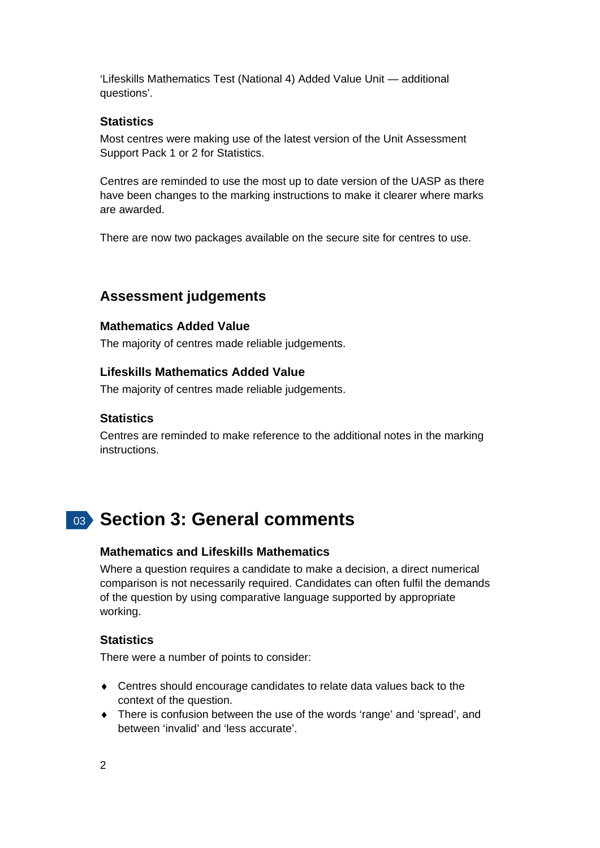'Lifeskills Mathematics Test (National 4) Added Value Unit — additional questions'.

#### **Statistics**

Most centres were making use of the latest version of the Unit Assessment Support Pack 1 or 2 for Statistics.

Centres are reminded to use the most up to date version of the UASP as there have been changes to the marking instructions to make it clearer where marks are awarded.

There are now two packages available on the secure site for centres to use.

#### **Assessment judgements**

#### **Mathematics Added Value**

The majority of centres made reliable judgements.

#### **Lifeskills Mathematics Added Value**

The majority of centres made reliable judgements.

#### **Statistics**

Centres are reminded to make reference to the additional notes in the marking instructions.

### 03 **Section 3: General comments**

#### **Mathematics and Lifeskills Mathematics**

Where a question requires a candidate to make a decision, a direct numerical comparison is not necessarily required. Candidates can often fulfil the demands of the question by using comparative language supported by appropriate working.

#### **Statistics**

There were a number of points to consider:

- Centres should encourage candidates to relate data values back to the context of the question.
- There is confusion between the use of the words 'range' and 'spread', and between 'invalid' and 'less accurate'.